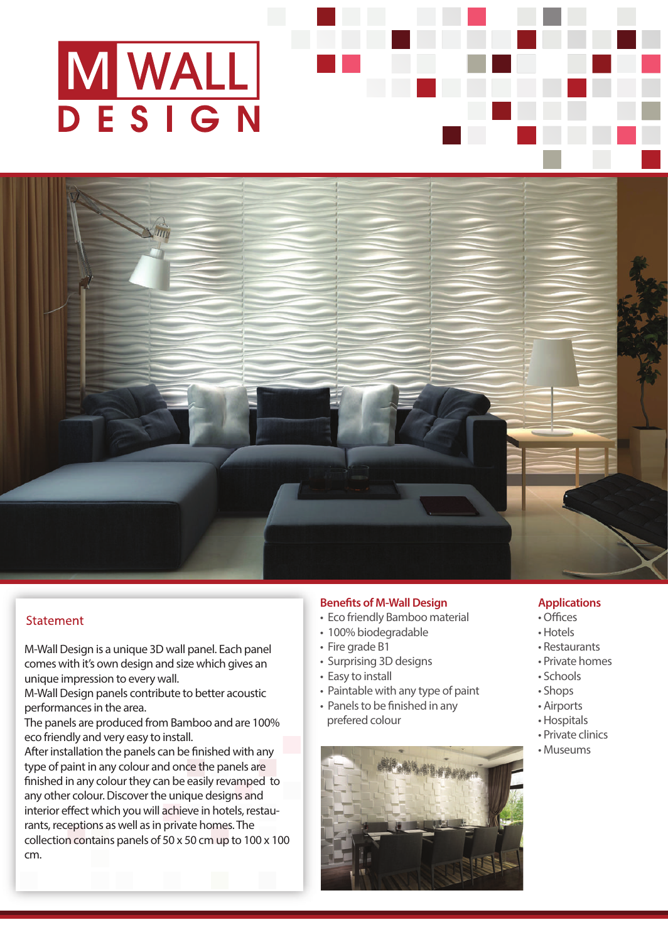# M WALL

# **Statement**

M-Wall Design is a unique 3D wall panel. Each panel comes with it's own design and size which gives an unique impression to every wall.

M-Wall Design panels contribute to better acoustic performances in the area.

The panels are produced from Bamboo and are 100% eco friendly and very easy to install.

After installation the panels can be finished with any type of paint in any colour and once the panels are finished in any colour they can be easily revamped to any other colour. Discover the unique designs and interior effect which you will achieve in hotels, restaurants, receptions as well as in private homes. The collection contains panels of 50 x 50 cm up to 100 x 100 cm.

## **Benefits of M-Wall Design**

- Eco friendly Bamboo material
- 100% biodegradable
- Fire grade B1
- Surprising 3D designs
- Easy to install
- Paintable with any type of paint
- Panels to be finished in any prefered colour



### **Applications**

- Offices
- Hotels
- Restaurants
- Private homes
- Schools
- Shops
- Airports
- Hospitals
- Private clinics
- Museums